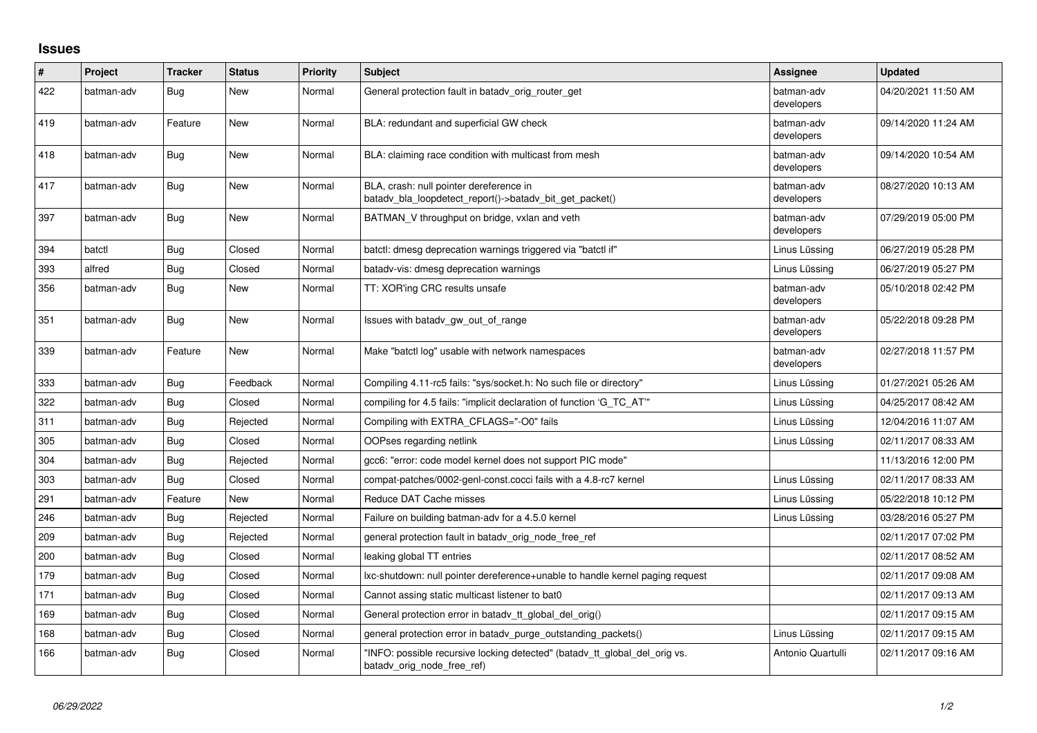## **Issues**

| #   | Project    | <b>Tracker</b> | <b>Status</b> | <b>Priority</b> | <b>Subject</b>                                                                                           | Assignee                 | <b>Updated</b>      |
|-----|------------|----------------|---------------|-----------------|----------------------------------------------------------------------------------------------------------|--------------------------|---------------------|
| 422 | batman-adv | <b>Bug</b>     | New           | Normal          | General protection fault in batady_orig_router_get                                                       | batman-adv<br>developers | 04/20/2021 11:50 AM |
| 419 | batman-adv | Feature        | New           | Normal          | BLA: redundant and superficial GW check                                                                  | batman-adv<br>developers | 09/14/2020 11:24 AM |
| 418 | batman-adv | Bug            | <b>New</b>    | Normal          | BLA: claiming race condition with multicast from mesh                                                    | batman-adv<br>developers | 09/14/2020 10:54 AM |
| 417 | batman-adv | <b>Bug</b>     | <b>New</b>    | Normal          | BLA, crash: null pointer dereference in<br>batady bla loopdetect report()->batady bit get packet()       | batman-adv<br>developers | 08/27/2020 10:13 AM |
| 397 | batman-adv | <b>Bug</b>     | <b>New</b>    | Normal          | BATMAN V throughput on bridge, vxlan and veth                                                            | batman-adv<br>developers | 07/29/2019 05:00 PM |
| 394 | batctl     | Bug            | Closed        | Normal          | batctl: dmesg deprecation warnings triggered via "batctl if"                                             | Linus Lüssing            | 06/27/2019 05:28 PM |
| 393 | alfred     | Bug            | Closed        | Normal          | batady-vis: dmesg deprecation warnings                                                                   | Linus Lüssing            | 06/27/2019 05:27 PM |
| 356 | batman-adv | Bug            | New           | Normal          | TT: XOR'ing CRC results unsafe                                                                           | batman-adv<br>developers | 05/10/2018 02:42 PM |
| 351 | batman-adv | Bug            | <b>New</b>    | Normal          | Issues with batady_gw_out_of_range                                                                       | batman-adv<br>developers | 05/22/2018 09:28 PM |
| 339 | batman-adv | Feature        | <b>New</b>    | Normal          | Make "batctl log" usable with network namespaces                                                         | batman-adv<br>developers | 02/27/2018 11:57 PM |
| 333 | batman-adv | Bug            | Feedback      | Normal          | Compiling 4.11-rc5 fails: "sys/socket.h: No such file or directory"                                      | Linus Lüssing            | 01/27/2021 05:26 AM |
| 322 | batman-adv | <b>Bug</b>     | Closed        | Normal          | compiling for 4.5 fails: "implicit declaration of function 'G_TC_AT'"                                    | Linus Lüssing            | 04/25/2017 08:42 AM |
| 311 | batman-adv | Bug            | Rejected      | Normal          | Compiling with EXTRA CFLAGS="-O0" fails                                                                  | Linus Lüssing            | 12/04/2016 11:07 AM |
| 305 | batman-adv | Bug            | Closed        | Normal          | OOPses regarding netlink                                                                                 | Linus Lüssing            | 02/11/2017 08:33 AM |
| 304 | batman-adv | <b>Bug</b>     | Rejected      | Normal          | gcc6: "error: code model kernel does not support PIC mode"                                               |                          | 11/13/2016 12:00 PM |
| 303 | batman-adv | Bug            | Closed        | Normal          | compat-patches/0002-genl-const.cocci fails with a 4.8-rc7 kernel                                         | Linus Lüssing            | 02/11/2017 08:33 AM |
| 291 | batman-adv | Feature        | <b>New</b>    | Normal          | Reduce DAT Cache misses                                                                                  | Linus Lüssing            | 05/22/2018 10:12 PM |
| 246 | batman-adv | Bug            | Rejected      | Normal          | Failure on building batman-adv for a 4.5.0 kernel                                                        | Linus Lüssing            | 03/28/2016 05:27 PM |
| 209 | batman-adv | <b>Bug</b>     | Rejected      | Normal          | general protection fault in batady orig node free ref                                                    |                          | 02/11/2017 07:02 PM |
| 200 | batman-adv | Bug            | Closed        | Normal          | leaking global TT entries                                                                                |                          | 02/11/2017 08:52 AM |
| 179 | batman-adv | Bug            | Closed        | Normal          | Ixc-shutdown: null pointer dereference+unable to handle kernel paging request                            |                          | 02/11/2017 09:08 AM |
| 171 | batman-adv | <b>Bug</b>     | Closed        | Normal          | Cannot assing static multicast listener to bat0                                                          |                          | 02/11/2017 09:13 AM |
| 169 | batman-adv | Bug            | Closed        | Normal          | General protection error in batady tt global del orig()                                                  |                          | 02/11/2017 09:15 AM |
| 168 | batman-adv | Bug            | Closed        | Normal          | general protection error in batady purge outstanding packets()                                           | Linus Lüssing            | 02/11/2017 09:15 AM |
| 166 | batman-adv | <b>Bug</b>     | Closed        | Normal          | 'INFO: possible recursive locking detected" (batady tt global del orig vs.<br>batady_orig_node_free_ref) | Antonio Quartulli        | 02/11/2017 09:16 AM |